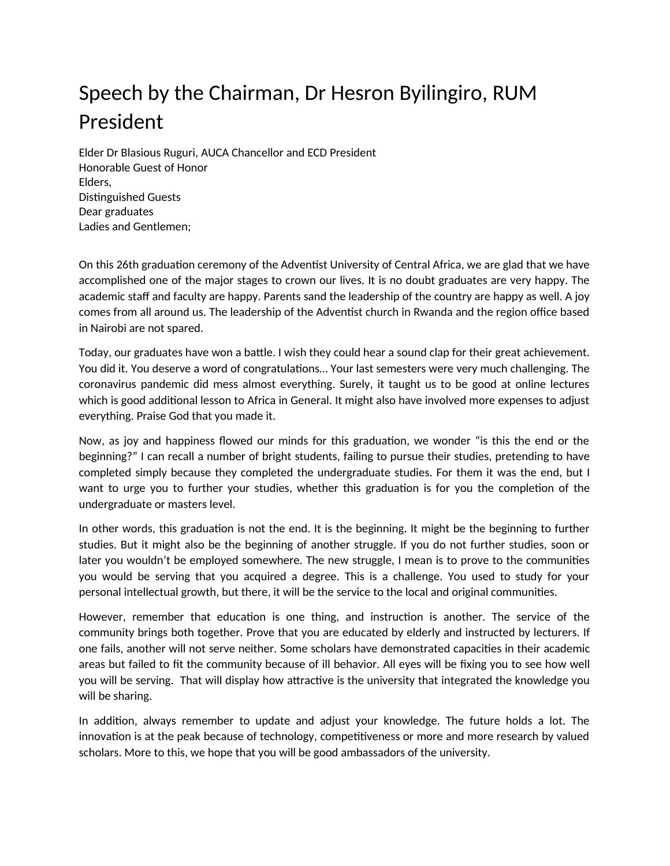## Speech by the Chairman, Dr Hesron Byilingiro, RUM President

Elder Dr Blasious Ruguri, AUCA Chancellor and ECD President Honorable Guest of Honor Elders, Distinguished Guests Dear graduates Ladies and Gentlemen;

On this 26th graduation ceremony of the Adventist University of Central Africa, we are glad that we have accomplished one of the major stages to crown our lives. It is no doubt graduates are very happy. The academic staff and faculty are happy. Parents sand the leadership of the country are happy as well. A joy comes from all around us. The leadership of the Adventist church in Rwanda and the region office based in Nairobi are not spared.

Today, our graduates have won a battle. I wish they could hear a sound clap for their great achievement. You did it. You deserve a word of congratulations… Your last semesters were very much challenging. The coronavirus pandemic did mess almost everything. Surely, it taught us to be good at online lectures which is good additional lesson to Africa in General. It might also have involved more expenses to adjust everything. Praise God that you made it.

Now, as joy and happiness flowed our minds for this graduation, we wonder "is this the end or the beginning?" I can recall a number of bright students, failing to pursue their studies, pretending to have completed simply because they completed the undergraduate studies. For them it was the end, but I want to urge you to further your studies, whether this graduation is for you the completion of the undergraduate or masters level.

In other words, this graduation is not the end. It is the beginning. It might be the beginning to further studies. But it might also be the beginning of another struggle. If you do not further studies, soon or later you wouldn't be employed somewhere. The new struggle, I mean is to prove to the communities you would be serving that you acquired a degree. This is a challenge. You used to study for your personal intellectual growth, but there, it will be the service to the local and original communities.

However, remember that education is one thing, and instruction is another. The service of the community brings both together. Prove that you are educated by elderly and instructed by lecturers. If one fails, another will not serve neither. Some scholars have demonstrated capacities in their academic areas but failed to fit the community because of ill behavior. All eyes will be fixing you to see how well you will be serving. That will display how attractive is the university that integrated the knowledge you will be sharing.

In addition, always remember to update and adjust your knowledge. The future holds a lot. The innovation is at the peak because of technology, competitiveness or more and more research by valued scholars. More to this, we hope that you will be good ambassadors of the university.